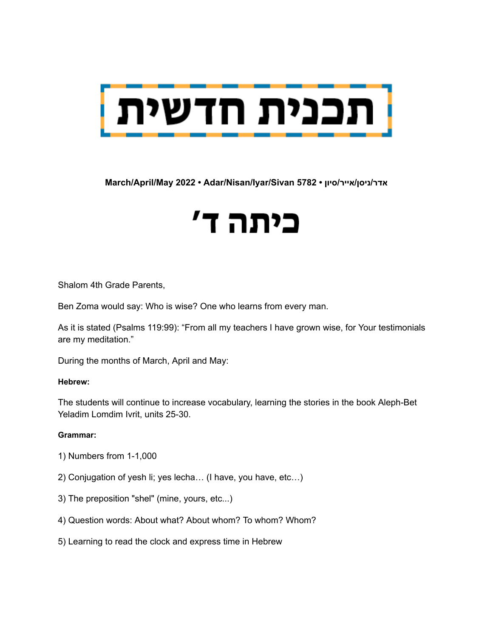

**March/April/May 2022 • Adar/Nisan/Iyar/Sivan 5782 • סיון/אייר/ניסן/אדר**

# כיתה ד'

Shalom 4th Grade Parents,

Ben Zoma would say: Who is wise? One who learns from every man.

As it is stated (Psalms 119:99): "From all my teachers I have grown wise, for Your testimonials are my meditation."

During the months of March, April and May:

#### **Hebrew:**

The students will continue to increase vocabulary, learning the stories in the book Aleph-Bet Yeladim Lomdim Ivrit, units 25-30.

#### **Grammar:**

- 1) Numbers from 1-1,000
- 2) Conjugation of yesh li; yes lecha… (I have, you have, etc…)
- 3) The preposition "shel" (mine, yours, etc...)
- 4) Question words: About what? About whom? To whom? Whom?
- 5) Learning to read the clock and express time in Hebrew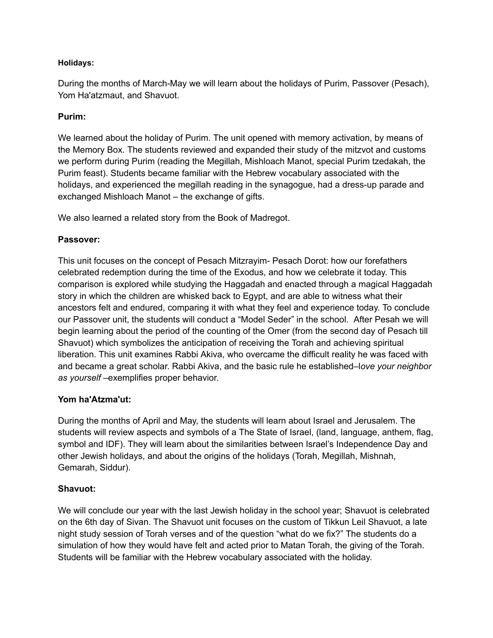# **Holidays:**

During the months of March-May we will learn about the holidays of Purim, Passover (Pesach), Yom Ha'atzmaut, and Shavuot.

# **Purim:**

We learned about the holiday of Purim. The unit opened with memory activation, by means of the Memory Box. The students reviewed and expanded their study of the mitzvot and customs we perform during Purim (reading the Megillah, Mishloach Manot, special Purim tzedakah, the Purim feast). Students became familiar with the Hebrew vocabulary associated with the holidays, and experienced the megillah reading in the synagogue, had a dress-up parade and exchanged Mishloach Manot – the exchange of gifts.

We also learned a related story from the Book of Madregot.

# **Passover:**

This unit focuses on the concept of Pesach Mitzrayim- Pesach Dorot: how our forefathers celebrated redemption during the time of the Exodus, and how we celebrate it today. This comparison is explored while studying the Haggadah and enacted through a magical Haggadah story in which the children are whisked back to Egypt, and are able to witness what their ancestors felt and endured, comparing it with what they feel and experience today. To conclude our Passover unit, the students will conduct a "Model Seder" in the school. After Pesah we will begin learning about the period of the counting of the Omer (from the second day of Pesach till Shavuot) which symbolizes the anticipation of receiving the Torah and achieving spiritual liberation. This unit examines Rabbi Akiva, who overcame the difficult reality he was faced with and became a great scholar. Rabbi Akiva, and the basic rule he established–l*ove your neighbor as yourself* –exemplifies proper behavior.

# **Yom ha'Atzma'ut:**

During the months of April and May, the students will learn about Israel and Jerusalem. The students will review aspects and symbols of a The State of Israel, (land, language, anthem, flag, symbol and IDF). They will learn about the similarities between Israel's Independence Day and other Jewish holidays, and about the origins of the holidays (Torah, Megillah, Mishnah, Gemarah, Siddur).

#### **Shavuot:**

We will conclude our year with the last Jewish holiday in the school year; Shavuot is celebrated on the 6th day of Sivan. The Shavuot unit focuses on the custom of Tikkun Leil Shavuot, a late night study session of Torah verses and of the question "what do we fix?" The students do a simulation of how they would have felt and acted prior to Matan Torah, the giving of the Torah. Students will be familiar with the Hebrew vocabulary associated with the holiday.